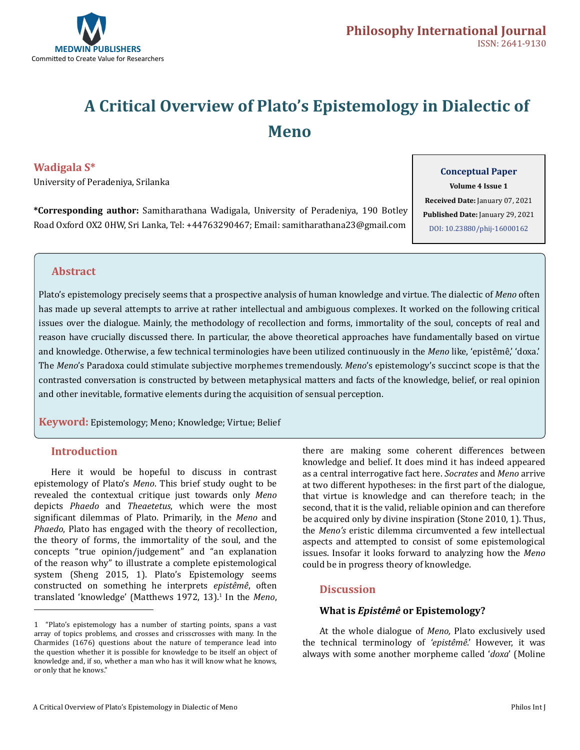

# **A Critical Overview of Plato's Epistemology in Dialectic of Meno**

**Wadigala S\***

University of Peradeniya, Srilanka

**\*Corresponding author:** Samitharathana Wadigala, University of Peradeniya, 190 Botley Road Oxford OX2 0HW, Sri Lanka, Tel: +44763290467; Email: samitharathana23@gmail.com

# **Conceptual Paper**

**Volume 4 Issue 1 Received Date:** January 07, 2021 **Published Date:** January 29, 2021 [DOI: 10.23880/phij-16000162](https://doi.org/10.23880/phij-16000162)

# **Abstract**

Plato's epistemology precisely seems that a prospective analysis of human knowledge and virtue. The dialectic of *Meno* often has made up several attempts to arrive at rather intellectual and ambiguous complexes. It worked on the following critical issues over the dialogue. Mainly, the methodology of recollection and forms, immortality of the soul, concepts of real and reason have crucially discussed there. In particular, the above theoretical approaches have fundamentally based on virtue and knowledge. Otherwise, a few technical terminologies have been utilized continuously in the *Meno* like, 'epistêmê,' 'doxa.' The *Meno*'s Paradoxa could stimulate subjective morphemes tremendously. *Meno*'s epistemology's succinct scope is that the contrasted conversation is constructed by between metaphysical matters and facts of the knowledge, belief, or real opinion and other inevitable, formative elements during the acquisition of sensual perception.

**Keyword:** Epistemology; Meno; Knowledge; Virtue; Belief

## **Introduction**

Here it would be hopeful to discuss in contrast epistemology of Plato's *Meno*. This brief study ought to be revealed the contextual critique just towards only *Meno*  depicts *Phaedo* and *Theaetetus*, which were the most significant dilemmas of Plato. Primarily, in the *Meno* and *Phaedo*, Plato has engaged with the theory of recollection, the theory of forms, the immortality of the soul, and the concepts "true opinion/judgement" and "an explanation of the reason why" to illustrate a complete epistemological system (Sheng 2015, 1). Plato's Epistemology seems constructed on something he interprets *epistêmê*, often translated 'knowledge' (Matthews 1972, 13).<sup>1</sup> In the *Meno*,

there are making some coherent differences between knowledge and belief. It does mind it has indeed appeared as a central interrogative fact here. *Socrates* and *Meno* arrive at two different hypotheses: in the first part of the dialogue, that virtue is knowledge and can therefore teach; in the second, that it is the valid, reliable opinion and can therefore be acquired only by divine inspiration (Stone 2010, 1). Thus, the *Meno's* eristic dilemma circumvented a few intellectual aspects and attempted to consist of some epistemological issues. Insofar it looks forward to analyzing how the *Meno*  could be in progress theory of knowledge.

## **Discussion**

#### **What is** *Epistêmê* **or Epistemology?**

At the whole dialogue of *Meno,* Plato exclusively used the technical terminology of *'epistêmê*.' However, it was always with some another morpheme called '*doxa*' (Moline

<sup>1 &</sup>quot;Plato's epistemology has a number of starting points, spans a vast array of topics problems, and crosses and crisscrosses with many. In the Charmides (1676) questions about the nature of temperance lead into the question whether it is possible for knowledge to be itself an object of knowledge and, if so, whether a man who has it will know what he knows, or only that he knows."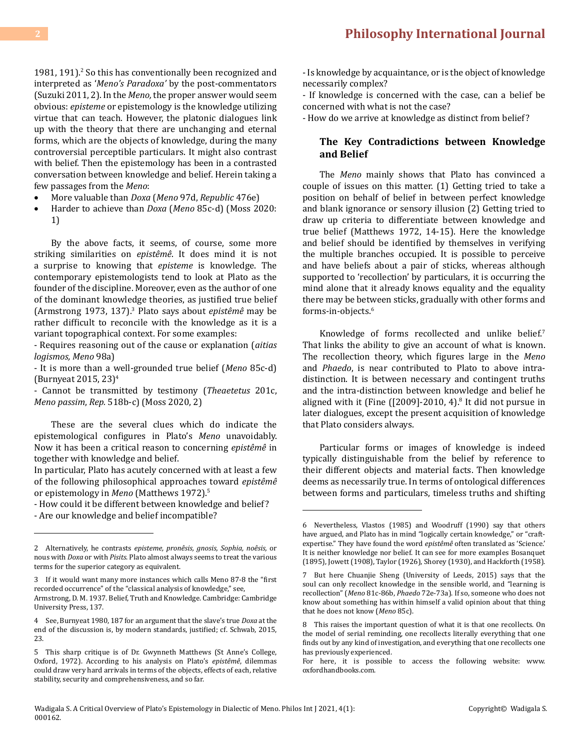1981, 191).<sup>2</sup> So this has conventionally been recognized and interpreted as '*Meno's Paradoxa'* by the post-commentators (Suzuki 2011, 2). In the *Meno,* the proper answer would seem obvious: *episteme* or epistemology is the knowledge utilizing virtue that can teach. However, the platonic dialogues link up with the theory that there are unchanging and eternal forms, which are the objects of knowledge, during the many controversial perceptible particulars. It might also contrast with belief. Then the epistemology has been in a contrasted conversation between knowledge and belief. Herein taking a few passages from the *Meno*:

- • More valuable than *Doxa* (*Meno* 97d, *Republic* 476e)
- Harder to achieve than *Doxa* (Meno 85c-d) (Moss 2020: 1)

By the above facts, it seems, of course, some more striking similarities on *epistêmê*. It does mind it is not a surprise to knowing that *episteme* is knowledge. The contemporary epistemologists tend to look at Plato as the founder of the discipline. Moreover, even as the author of one of the dominant knowledge theories, as justified true belief (Armstrong 1973, 137).<sup>3</sup> Plato says about *epistêmê* may be rather difficult to reconcile with the knowledge as it is a variant topographical context. For some examples:

- Requires reasoning out of the cause or explanation (*aitias logismos, Meno* 98a)

- It is more than a well-grounded true belief (*Meno* 85c-d) (Burnyeat 2015, 23)4

- Cannot be transmitted by testimony (*Theaetetus* 201c, *Meno passim*, *Rep.* 518b-c) (Moss 2020, 2)

These are the several clues which do indicate the epistemological configures in Plato's *Meno* unavoidably. Now it has been a critical reason to concerning *epistêmê* in together with knowledge and belief.

In particular, Plato has acutely concerned with at least a few of the following philosophical approaches toward *epistêmê*  or epistemology in *Meno* (Matthews 1972).5

- How could it be different between knowledge and belief?

- Are our knowledge and belief incompatible?

- Is knowledge by acquaintance, or is the object of knowledge necessarily complex?

- If knowledge is concerned with the case, can a belief be concerned with what is not the case?

- How do we arrive at knowledge as distinct from belief?

# **The Key Contradictions between Knowledge and Belief**

The *Meno* mainly shows that Plato has convinced a couple of issues on this matter. (1) Getting tried to take a position on behalf of belief in between perfect knowledge and blank ignorance or sensory illusion (2) Getting tried to draw up criteria to differentiate between knowledge and true belief (Matthews 1972, 14-15). Here the knowledge and belief should be identified by themselves in verifying the multiple branches occupied. It is possible to perceive and have beliefs about a pair of sticks, whereas although supported to 'recollection' by particulars, it is occurring the mind alone that it already knows equality and the equality there may be between sticks, gradually with other forms and forms-in-objects.6

Knowledge of forms recollected and unlike belief.7 That links the ability to give an account of what is known. The recollection theory, which figures large in the *Meno*  and *Phaedo*, is near contributed to Plato to above intradistinction. It is between necessary and contingent truths and the intra-distinction between knowledge and belief he aligned with it (Fine ([2009]-2010, 4).<sup>8</sup> It did not pursue in later dialogues, except the present acquisition of knowledge that Plato considers always.

Particular forms or images of knowledge is indeed typically distinguishable from the belief by reference to their different objects and material facts. Then knowledge deems as necessarily true. In terms of ontological differences between forms and particulars, timeless truths and shifting

<sup>2</sup> Alternatively, he contrasts *episteme, pronêsis, gnosis, Sophia, noêsis,* or nous with *Doxa* or with *Pisits*. Plato almost always seems to treat the various terms for the superior category as equivalent.

<sup>3</sup> If it would want many more instances which calls Meno 87-8 the "first recorded occurrence" of the "classical analysis of knowledge," see, Armstrong, D. M. 1937. Belief, Truth and Knowledge. Cambridge: Cambridge University Press, 137.

<sup>4</sup> See, Burnyeat 1980, 187 for an argument that the slave's true *Doxa* at the end of the discussion is, by modern standards, justified; cf. Schwab, 2015, 23.

<sup>5</sup> This sharp critique is of Dr. Gwynneth Matthews (St Anne's College, Oxford, 1972). According to his analysis on Plato's *epistêmê*, dilemmas could draw very hard arrivals in terms of the objects, effects of each, relative stability, security and comprehensiveness, and so far.

<sup>6</sup> Nevertheless, Vlastos (1985) and Woodruff (1990) say that others have argued, and Plato has in mind "logically certain knowledge," or "craftexpertise." They have found the word *epistêmê* often translated as 'Science.' It is neither knowledge nor belief. It can see for more examples Bosanquet (1895), Jowett (1908), Taylor (1926), Shorey (1930), and Hackforth (1958).

<sup>7</sup> But here Chuanjie Sheng (University of Leeds, 2015) says that the soul can only recollect knowledge in the sensible world, and "learning is recollection" (*Meno* 81c-86b, *Phaedo* 72e-73a). If so, someone who does not know about something has within himself a valid opinion about that thing that he does not know (*Meno* 85c).

<sup>8</sup> This raises the important question of what it is that one recollects. On the model of serial reminding, one recollects literally everything that one finds out by any kind of investigation, and everything that one recollects one has previously experienced.

For here, it is possible to access the following website: www. oxfordhandbooks.com.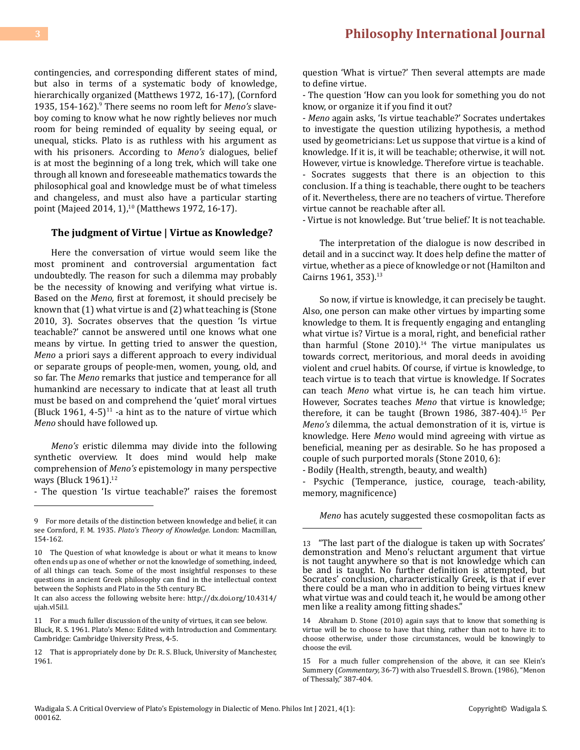contingencies, and corresponding different states of mind, but also in terms of a systematic body of knowledge, hierarchically organized (Matthews 1972, 16-17), (Cornford 1935, 154-162).9 There seems no room left for *Meno's* slaveboy coming to know what he now rightly believes nor much room for being reminded of equality by seeing equal, or unequal, sticks. Plato is as ruthless with his argument as with his prisoners. According to *Meno's* dialogues, belief is at most the beginning of a long trek, which will take one through all known and foreseeable mathematics towards the philosophical goal and knowledge must be of what timeless and changeless, and must also have a particular starting point (Majeed 2014, 1),<sup>10</sup> (Matthews 1972, 16-17).

#### **The judgment of Virtue | Virtue as Knowledge?**

Here the conversation of virtue would seem like the most prominent and controversial argumentation fact undoubtedly. The reason for such a dilemma may probably be the necessity of knowing and verifying what virtue is. Based on the *Meno,* first at foremost, it should precisely be known that (1) what virtue is and (2) what teaching is (Stone 2010, 3). Socrates observes that the question 'Is virtue teachable?' cannot be answered until one knows what one means by virtue. In getting tried to answer the question, *Meno* a priori says a different approach to every individual or separate groups of people-men, women, young, old, and so far. The *Meno* remarks that justice and temperance for all humankind are necessary to indicate that at least all truth must be based on and comprehend the 'quiet' moral virtues (Bluck 1961, 4-5) $^{11}$  -a hint as to the nature of virtue which *Meno* should have followed up.

*Meno's* eristic dilemma may divide into the following synthetic overview. It does mind would help make comprehension of *Meno's* epistemology in many perspective ways (Bluck 1961).<sup>12</sup>

- The question 'Is virtue teachable?' raises the foremost

question 'What is virtue?' Then several attempts are made to define virtue.

- The question 'How can you look for something you do not know, or organize it if you find it out?

- *Meno* again asks, 'Is virtue teachable?' Socrates undertakes to investigate the question utilizing hypothesis, a method used by geometricians: Let us suppose that virtue is a kind of knowledge. If it is, it will be teachable; otherwise, it will not. However, virtue is knowledge. Therefore virtue is teachable.

- Socrates suggests that there is an objection to this conclusion. If a thing is teachable, there ought to be teachers of it. Nevertheless, there are no teachers of virtue. Therefore virtue cannot be reachable after all.

- Virtue is not knowledge. But 'true belief.' It is not teachable.

The interpretation of the dialogue is now described in detail and in a succinct way. It does help define the matter of virtue, whether as a piece of knowledge or not (Hamilton and Cairns 1961, 353).<sup>13</sup>

So now, if virtue is knowledge, it can precisely be taught. Also, one person can make other virtues by imparting some knowledge to them. It is frequently engaging and entangling what virtue is? Virtue is a moral, right, and beneficial rather than harmful (Stone 2010).<sup>14</sup> The virtue manipulates us towards correct, meritorious, and moral deeds in avoiding violent and cruel habits. Of course, if virtue is knowledge, to teach virtue is to teach that virtue is knowledge. If Socrates can teach *Meno* what virtue is, he can teach him virtue. However, Socrates teaches *Meno* that virtue is knowledge; therefore, it can be taught (Brown 1986, 387-404).<sup>15</sup> Per *Meno's* dilemma, the actual demonstration of it is, virtue is knowledge. Here *Meno* would mind agreeing with virtue as beneficial, meaning per as desirable. So he has proposed a couple of such purported morals (Stone 2010, 6):

- Bodily (Health, strength, beauty, and wealth)

- Psychic (Temperance, justice, courage, teach-ability, memory, magnificence)

*Meno* has acutely suggested these cosmopolitan facts as

<sup>9</sup> For more details of the distinction between knowledge and belief, it can see Cornford, F. M. 1935. *Plato's Theory of Knowledge*. London: Macmillan, 154-162.

<sup>10</sup> The Question of what knowledge is about or what it means to know often ends up as one of whether or not the knowledge of something, indeed, of all things can teach. Some of the most insightful responses to these questions in ancient Greek philosophy can find in the intellectual context between the Sophists and Plato in the 5th century BC.

It can also access the following website here: http://dx.doi.org/10.4314/ ujah.vl5il.l.

<sup>11</sup> For a much fuller discussion of the unity of virtues, it can see below. Bluck, R. S. 1961. Plato's Meno: Edited with Introduction and Commentary. Cambridge: Cambridge University Press, 4-5.

<sup>12</sup> That is appropriately done by Dr. R. S. Bluck, University of Manchester, 1961.

<sup>13</sup> "The last part of the dialogue is taken up with Socrates' demonstration and Meno's reluctant argument that virtue is not taught anywhere so that is not knowledge which can be and is taught. No further definition is attempted, but Socrates' conclusion, characteristically Greek, is that if ever there could be a man who in addition to being virtues knew what virtue was and could teach it, he would be among other men like a reality among fitting shades."

<sup>14</sup> Abraham D. Stone (2010) again says that to know that something is virtue will be to choose to have that thing, rather than not to have it: to choose otherwise, under those circumstances, would be knowingly to choose the evil.

<sup>15</sup> For a much fuller comprehension of the above, it can see Klein's Summery (*Commentary,* 36-7) with also Truesdell S. Brown. (1986), "Menon of Thessaly," 387-404.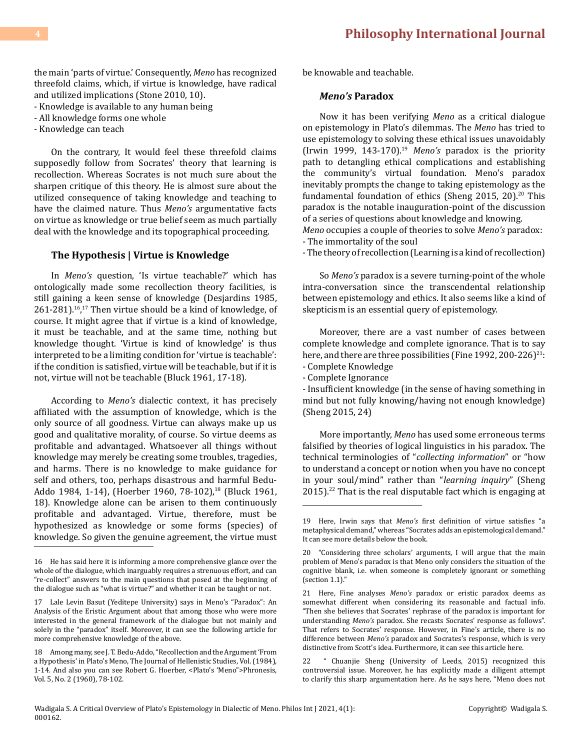the main 'parts of virtue.' Consequently, *Meno* has recognized threefold claims, which, if virtue is knowledge, have radical and utilized implications (Stone 2010, 10).

- Knowledge is available to any human being
- All knowledge forms one whole
- Knowledge can teach

On the contrary, It would feel these threefold claims supposedly follow from Socrates' theory that learning is recollection. Whereas Socrates is not much sure about the sharpen critique of this theory. He is almost sure about the utilized consequence of taking knowledge and teaching to have the claimed nature. Thus *Meno's* argumentative facts on virtue as knowledge or true belief seem as much partially deal with the knowledge and its topographical proceeding.

#### **The Hypothesis | Virtue is Knowledge**

In *Meno's* question, 'Is virtue teachable?' which has ontologically made some recollection theory facilities, is still gaining a keen sense of knowledge (Desjardins 1985, 261-281).16, 17 Then virtue should be a kind of knowledge, of course. It might agree that if virtue is a kind of knowledge, it must be teachable, and at the same time, nothing but knowledge thought. 'Virtue is kind of knowledge' is thus interpreted to be a limiting condition for 'virtue is teachable': if the condition is satisfied, virtue will be teachable, but if it is not, virtue will not be teachable (Bluck 1961, 17-18).

According to *Meno's* dialectic context, it has precisely affiliated with the assumption of knowledge, which is the only source of all goodness. Virtue can always make up us good and qualitative morality, of course. So virtue deems as profitable and advantaged. Whatsoever all things without knowledge may merely be creating some troubles, tragedies, and harms. There is no knowledge to make guidance for self and others, too, perhaps disastrous and harmful Bedu-Addo 1984, 1-14), (Hoerber 1960, 78-102),<sup>18</sup> (Bluck 1961, 18). Knowledge alone can be arisen to them continuously profitable and advantaged. Virtue, therefore, must be hypothesized as knowledge or some forms (species) of knowledge. So given the genuine agreement, the virtue must be knowable and teachable.

#### *Meno's* **Paradox**

Now it has been verifying *Meno* as a critical dialogue on epistemology in Plato's dilemmas. The *Meno* has tried to use epistemology to solving these ethical issues unavoidably (Irwin 1999, 143-170).19 *Meno's* paradox is the priority path to detangling ethical complications and establishing the community's virtual foundation. Meno's paradox inevitably prompts the change to taking epistemology as the fundamental foundation of ethics (Sheng 2015, 20).<sup>20</sup> This paradox is the notable inauguration-point of the discussion of a series of questions about knowledge and knowing.

*Meno* occupies a couple of theories to solve *Meno's* paradox: - The immortality of the soul

- The theory of recollection (Learning is a kind of recollection)

So *Meno's* paradox is a severe turning-point of the whole intra-conversation since the transcendental relationship between epistemology and ethics. It also seems like a kind of skepticism is an essential query of epistemology.

Moreover, there are a vast number of cases between complete knowledge and complete ignorance. That is to say here, and there are three possibilities (Fine 1992, 200-226)<sup>21</sup>:

- Complete Knowledge

- Complete Ignorance

- Insufficient knowledge (in the sense of having something in mind but not fully knowing/having not enough knowledge) (Sheng 2015, 24)

More importantly, *Meno* has used some erroneous terms falsified by theories of logical linguistics in his paradox. The technical terminologies of "*collecting information*" or "how to understand a concept or notion when you have no concept in your soul/mind" rather than "*learning inquiry*" (Sheng  $2015$ ).<sup>22</sup> That is the real disputable fact which is engaging at

<sup>16</sup> He has said here it is informing a more comprehensive glance over the whole of the dialogue, which inarguably requires a strenuous effort, and can "re-collect" answers to the main questions that posed at the beginning of the dialogue such as "what is virtue?" and whether it can be taught or not.

<sup>17</sup> Lale Levin Basut (Yeditepe University) says in Meno's "Paradox": An Analysis of the Eristic Argument about that among those who were more interested in the general framework of the dialogue but not mainly and solely in the "paradox" itself. Moreover, it can see the following article for more comprehensive knowledge of the above.

<sup>18</sup> Among many, see J. T. Bedu-Addo, "Recollection and the Argument 'From a Hypothesis' in Plato's Meno, The Journal of Hellenistic Studies, Vol. (1984), 1-14. And also you can see Robert G. Hoerber, <Plato's 'Meno">Phronesis, Vol. 5, No. 2 (1960), 78-102.

<sup>19</sup> Here, Irwin says that *Meno's* first definition of virtue satisfies "a metaphysical demand," whereas "Socrates adds an epistemological demand." It can see more details below the book.

<sup>20 &</sup>quot;Considering three scholars' arguments, I will argue that the main problem of Meno's paradox is that Meno only considers the situation of the cognitive blank, i.e. when someone is completely ignorant or something (section 1.1)."

<sup>21</sup> Here, Fine analyses *Meno's* paradox or eristic paradox deems as somewhat different when considering its reasonable and factual info. "Then she believes that Socrates' rephrase of the paradox is important for understanding *Meno's* paradox. She recasts Socrates' response as follows". That refers to Socrates' response. However, in Fine's article, there is no difference between *Meno's* paradox and Socrates's response, which is very distinctive from Scott's idea. Furthermore, it can see this article here.

<sup>22 &</sup>quot; Chuanjie Sheng (University of Leeds, 2015) recognized this controversial issue. Moreover, he has explicitly made a diligent attempt to clarify this sharp argumentation here. As he says here, "Meno does not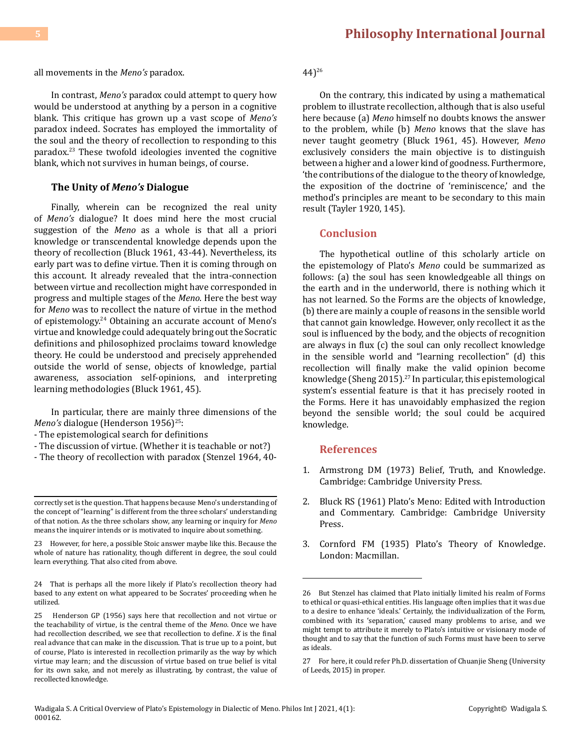all movements in the *Meno's* paradox.

In contrast, *Meno's* paradox could attempt to query how would be understood at anything by a person in a cognitive blank. This critique has grown up a vast scope of *Meno's*  paradox indeed. Socrates has employed the immortality of the soul and the theory of recollection to responding to this paradox.23 These twofold ideologies invented the cognitive blank, which not survives in human beings, of course.

#### **The Unity of** *Meno's* **Dialogue**

Finally, wherein can be recognized the real unity of *Meno's* dialogue? It does mind here the most crucial suggestion of the *Meno* as a whole is that all a priori knowledge or transcendental knowledge depends upon the theory of recollection (Bluck 1961, 43-44). Nevertheless, its early part was to define virtue. Then it is coming through on this account. It already revealed that the intra-connection between virtue and recollection might have corresponded in progress and multiple stages of the *Meno*. Here the best way for *Meno* was to recollect the nature of virtue in the method of epistemology.24 Obtaining an accurate account of Meno's virtue and knowledge could adequately bring out the Socratic definitions and philosophized proclaims toward knowledge theory. He could be understood and precisely apprehended outside the world of sense, objects of knowledge, partial awareness, association self-opinions, and interpreting learning methodologies (Bluck 1961, 45).

In particular, there are mainly three dimensions of the *Meno's* dialogue (Henderson 1956)<sup>25</sup>:

- The epistemological search for definitions
- The discussion of virtue. (Whether it is teachable or not?)
- The theory of recollection with paradox (Stenzel 1964, 40-

24 That is perhaps all the more likely if Plato's recollection theory had based to any extent on what appeared to be Socrates' proceeding when he utilized.

44)26

On the contrary, this indicated by using a mathematical problem to illustrate recollection, although that is also useful here because (a) *Meno* himself no doubts knows the answer to the problem, while (b) *Meno* knows that the slave has never taught geometry (Bluck 1961, 45). However, *Meno*  exclusively considers the main objective is to distinguish between a higher and a lower kind of goodness. Furthermore, 'the contributions of the dialogue to the theory of knowledge, the exposition of the doctrine of 'reminiscence,' and the method's principles are meant to be secondary to this main result (Tayler 1920, 145).

#### **Conclusion**

The hypothetical outline of this scholarly article on the epistemology of Plato's *Meno* could be summarized as follows: (a) the soul has seen knowledgeable all things on the earth and in the underworld, there is nothing which it has not learned. So the Forms are the objects of knowledge, (b) there are mainly a couple of reasons in the sensible world that cannot gain knowledge. However, only recollect it as the soul is influenced by the body, and the objects of recognition are always in flux (c) the soul can only recollect knowledge in the sensible world and "learning recollection" (d) this recollection will finally make the valid opinion become knowledge (Sheng 2015).<sup>27</sup> In particular, this epistemological system's essential feature is that it has precisely rooted in the Forms. Here it has unavoidably emphasized the region beyond the sensible world; the soul could be acquired knowledge.

#### **References**

- 1. [Armstrong DM \(1973\) Belief, Truth, and Knowledge.](https://www.cambridge.org/core/books/belief-truth-and-knowledge/360ACB6013E6EC1F95D21C3AD413DBFD) [Cambridge: Cambridge University Press.](https://www.cambridge.org/core/books/belief-truth-and-knowledge/360ACB6013E6EC1F95D21C3AD413DBFD)
- 2. [Bluck RS \(1961\) Plato's Meno: Edited with Introduction](https://www.cambridge.org/in/academic/subjects/classical-studies/classical-studies-general/platos-meno?format=PB&isbn=9780521172288) [and Commentary. Cambridge: Cambridge University](https://www.cambridge.org/in/academic/subjects/classical-studies/classical-studies-general/platos-meno?format=PB&isbn=9780521172288) [Press.](https://www.cambridge.org/in/academic/subjects/classical-studies/classical-studies-general/platos-meno?format=PB&isbn=9780521172288)
- 3. [Cornford FM \(1935\) Plato's Theory of Knowledge.](https://www.bard.edu/library/arendt/pdfs/Cornford-Knowledge.pdf) [London: Macmillan.](https://www.bard.edu/library/arendt/pdfs/Cornford-Knowledge.pdf)

correctly set is the question. That happens because Meno's understanding of the concept of "learning" is different from the three scholars' understanding of that notion. As the three scholars show, any learning or inquiry for *Meno*  means the inquirer intends or is motivated to inquire about something.

<sup>23</sup> However, for here, a possible Stoic answer maybe like this. Because the whole of nature has rationality, though different in degree, the soul could learn everything. That also cited from above.

<sup>25</sup> Henderson GP (1956) says here that recollection and not virtue or the teachability of virtue, is the central theme of the *Meno*. Once we have had recollection described, we see that recollection to define. *X* is the final real advance that can make in the discussion. That is true up to a point, but of course, Plato is interested in recollection primarily as the way by which virtue may learn; and the discussion of virtue based on true belief is vital for its own sake, and not merely as illustrating, by contrast, the value of recollected knowledge.

<sup>26</sup> But Stenzel has claimed that Plato initially limited his realm of Forms to ethical or quasi-ethical entities. His language often implies that it was due to a desire to enhance 'ideals.' Certainly, the individualization of the Form, combined with its 'separation,' caused many problems to arise, and we might tempt to attribute it merely to Plato's intuitive or visionary mode of thought and to say that the function of such Forms must have been to serve as ideals.

<sup>27</sup> For here, it could refer Ph.D. dissertation of Chuanjie Sheng (University of Leeds, 2015) in proper.